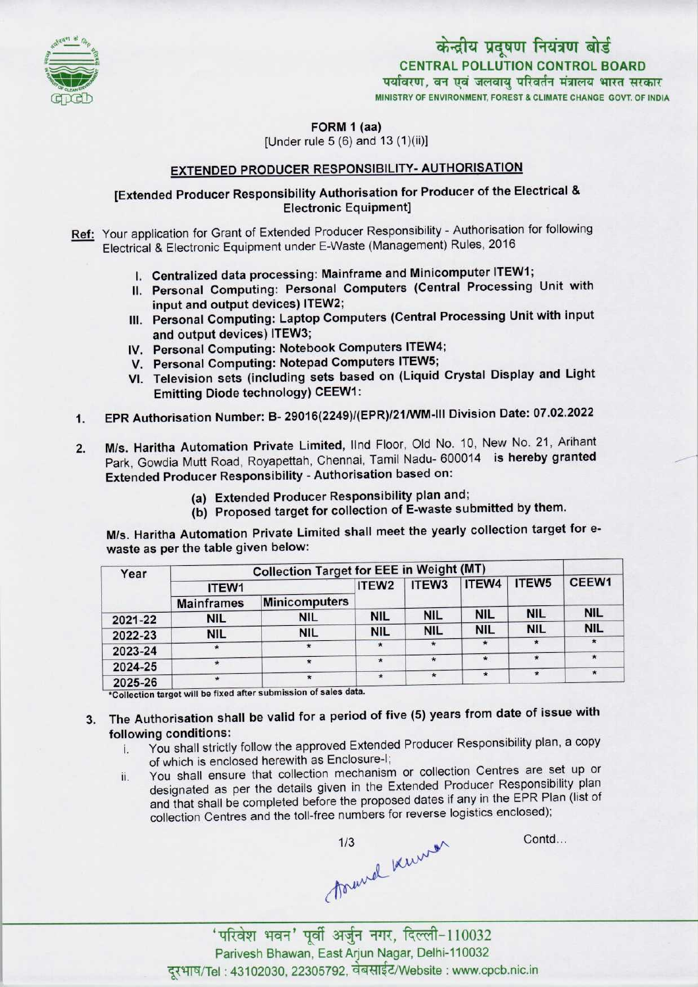

# केन्द्रीय प्रदूषण नियंत्रण बोर्ड CENTRAL POLLUTION CONTROL BOARD<br>पर्यावरण, वन एवं जलवायु परिवर्तन मंत्रालय भारत सरकार MINISTRY OF ENVIRONMENT, FOREST & CLIMATE CHANGE GOVT. OF INDIA

FORM 1 (aa)

[Under rule  $5(6)$  and  $13(1)(ii)$ ]

## EXTENDED PRODUCER RESPONSIBILITY- AUTHORISATION

## [Extended Producer Responsibility Authorisation for Producer of the Electrical & Electronic Equipment]

Ref: Your application for Grant of Extended Producer Responsibility - Authorisation for following Electrical & Electronic Equipment under E-Waste (Management) Rules, 2016

- I. Centralized data processing: Mainframe and Minicomputer ITEW1;
- II. Personal Computing: Personal Computers (Central Processing Unit with input and output devices) ITEW2;
- III. Personal Computing: Laptop Computers (Central Processing Unit with input and output devices) ITEW3;
- and output devices) ITEW3;<br>IV. Personal Computing: Notebook Computers ITEW4;
- V. Personal Computing: Notebook Computers ITEW<br>V. Personal Computing: Notepad Computers ITEW5
- V. Personal Computing: Notepad Computers ITEW5;<br>VI. Television sets (including sets based on (Liquid Crystal Display and Light Emitting Diode technology) CEEW1:
- 1. EPR Authorisation Number: B- 29016(2249)/(EPR)/21/WM-lll Division Date: 07.02.2022
- M/s. Haritha Automation Private Limited, llnd Floor, Old No. 10, New No. 21, Arihant Park, Gowdia Mutt Road, Royapettah, Chennai, Tamil Nadu- 600014 is hereby granted Extended Producer Responsibility - Authorisation based on: 2.
	- (a)Extended Producer Responsibility plan and;
	- (b) Proposed target for collection of E-waste submitted by them.

M/s. Haritha Automation Private Limited shall meet the yearly collection target for ewaste as per the table given below:

| Year    | <b>Collection Target for EEE in Weight (MT)</b> |                      |                   |                   |            |                   |               |
|---------|-------------------------------------------------|----------------------|-------------------|-------------------|------------|-------------------|---------------|
|         | ITEW1                                           |                      | ITEW <sub>2</sub> | ITEW <sub>3</sub> | ITEW4      | ITEW <sub>5</sub> | CEEW1         |
|         | <b>Mainframes</b>                               | <b>Minicomputers</b> |                   |                   |            |                   |               |
| 2021-22 | <b>NIL</b>                                      | nil                  | <b>NIL</b>        | <b>NIL</b>        | <b>NIL</b> | <b>NIL</b>        | <b>NIL</b>    |
| 2022-23 | <b>NIL</b>                                      | <b>NIL</b>           | <b>NIL</b>        | <b>NIL</b>        | <b>NIL</b> | <b>NIL</b>        | <b>NIL</b>    |
| 2023-24 | $\star$                                         |                      | $\star$           | $\star$           | $\star$    | $\star$           | $\star$       |
| 2024-25 | $\ast$                                          |                      | $\star$           | $\star$           | $\star$    | $\star$           | $\pmb{\star}$ |
| 2025-26 | $\star$                                         |                      | $\star$           | $\star$           | $\star$    |                   | $\star$       |

## 3. The Authorisation shall be valid for a period of five (5) years from date of issue with following conditions:

- i. You shall strictly follow the approved Extended Producer Responsibility plan, <sup>a</sup> copy of which is enclosed herewith as Enclosure-];
- ii. You shall ensure that collection mechanism or collection Centres are set up or designated as per the details given in the Extended Producer Responsibility plan and that shall be completed before the proposed dates if any in the EPR Plan (list of collection Centres and the toll-free numbers for reverse logistics enclosed);

townel know

Contd...

'परिवेश भवन' पूर्वी अर्जुन नगर, दिल्ली-110032<br>Parivesh Bhawan, East Arjun Nagar, Delhi-110032 दरभाष/Tel: 43102030, 22305792, वेबसाईट/Website : www.cpcb.nic.in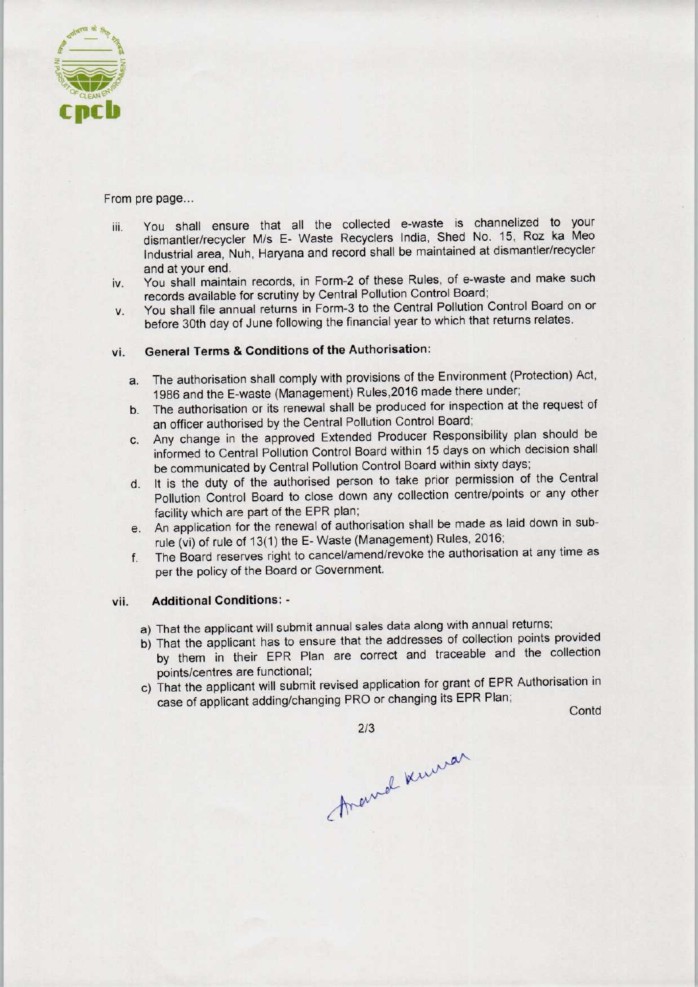

From pre page...

- iii. You shall ensure that all the collected e-waste is channelized to your dismantler/recycler M/s E- Waste Recyclers India, Shed No. 15, Roz ka Meo Industrial area, Nuh, Haryana and record shall be maintained at dismantler/recycler and at your end.
- iv. You shall maintain records, in Form-2 of these Rules, of e-waste and make such records available for scrutiny by Central Pollution Control Board;
- v. You shall file annual returns in Form-3 to the Central Pollution Control Board on or before 30th day of June following the financial year to which that returns relates.

## vi. General Terms & Conditions of the Authorisation:

- a. The authorisation shall comply with provisions of the Environment (Protection) Act, 1986 and the E-waste (Management) Rules,2016 made there under;
- b.The authorisation or its renewal shall be produced for inspection at the request of an officer authorised by the Central Pollution Control Board;
- c.Any change in the approved Extended Producer Responsibility plan should be informed to Central Pollution Control Board within 15 days on which decision shall be communicated by Central Pollution Control Board within sixty days;
- d. It is the duty of the authorised person to take prior permission of the Central Pollution Control Board to close down any collection centre/points or any other facility which are part of the EPR plan;
- e.An application for the renewal of authorisation shall be made aslaid down in subrule (vi) of rule of 13(1) the E-Waste (Management) Rules, 2016;
- f. The Board reserves right to cancel/amend/revoke the authorisation at any time as per the policy of the Board or Government,

### vii. Additional Conditions: -

- a) That the applicant will submit annual sales data along with annual returns;
- b) That the applicant has to ensure that the addresses of collection points provided That the applicant has to ensure that the addresses of concenter performance the collection points/centres are functional; That the applicant will submit annual sales data along with annual return<br>That the applicant has to ensure that the addresses of collection poin<br>by them in their EPR Plan are correct and traceable and the<br>points/centres ar
- c) That the applicant will submit revised application for grant of EPR Authorisation in<br>case of applicant adding/changing PRO or changing its EPR Plan;<br>Contd

213<br>Anawal Kuwar